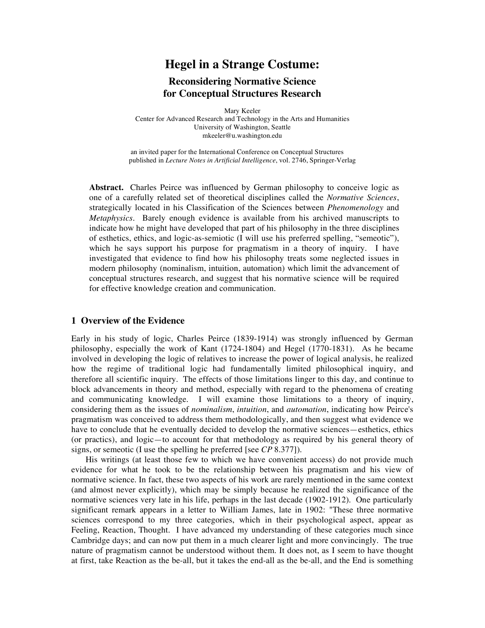# **Hegel in a Strange Costume:**

# **Reconsidering Normative Science for Conceptual Structures Research**

Mary Keeler Center for Advanced Research and Technology in the Arts and Humanities University of Washington, Seattle mkeeler@u.washington.edu

an invited paper for the International Conference on Conceptual Structures published in *Lecture Notes in Artificial Intelligence*, vol. 2746, Springer-Verlag

**Abstract.** Charles Peirce was influenced by German philosophy to conceive logic as one of a carefully related set of theoretical disciplines called the *Normative Sciences*, strategically located in his Classification of the Sciences between *Phenomenology* and *Metaphysics.* Barely enough evidence is available from his archived manuscripts to indicate how he might have developed that part of his philosophy in the three disciplines of esthetics, ethics, and logic-as-semiotic (I will use his preferred spelling, "semeotic"), which he says support his purpose for pragmatism in a theory of inquiry. I have investigated that evidence to find how his philosophy treats some neglected issues in modern philosophy (nominalism, intuition, automation) which limit the advancement of conceptual structures research, and suggest that his normative science will be required for effective knowledge creation and communication.

### **1 Overview of the Evidence**

Early in his study of logic, Charles Peirce (1839-1914) was strongly influenced by German philosophy, especially the work of Kant (1724-1804) and Hegel (1770-1831). As he became involved in developing the logic of relatives to increase the power of logical analysis, he realized how the regime of traditional logic had fundamentally limited philosophical inquiry, and therefore all scientific inquiry. The effects of those limitations linger to this day, and continue to block advancements in theory and method, especially with regard to the phenomena of creating and communicating knowledge. I will examine those limitations to a theory of inquiry, considering them as the issues of *nominalism*, *intuition*, and *automation*, indicating how Peirce's pragmatism was conceived to address them methodologically, and then suggest what evidence we have to conclude that he eventually decided to develop the normative sciences—esthetics, ethics (or practics), and logic—to account for that methodology as required by his general theory of signs, or semeotic (I use the spelling he preferred [see *CP* 8.377]).

His writings (at least those few to which we have convenient access) do not provide much evidence for what he took to be the relationship between his pragmatism and his view of normative science. In fact, these two aspects of his work are rarely mentioned in the same context (and almost never explicitly), which may be simply because he realized the significance of the normative sciences very late in his life, perhaps in the last decade (1902-1912). One particularly significant remark appears in a letter to William James, late in 1902: "These three normative sciences correspond to my three categories, which in their psychological aspect, appear as Feeling, Reaction, Thought. I have advanced my understanding of these categories much since Cambridge days; and can now put them in a much clearer light and more convincingly. The true nature of pragmatism cannot be understood without them. It does not, as I seem to have thought at first, take Reaction as the be-all, but it takes the end-all as the be-all, and the End is something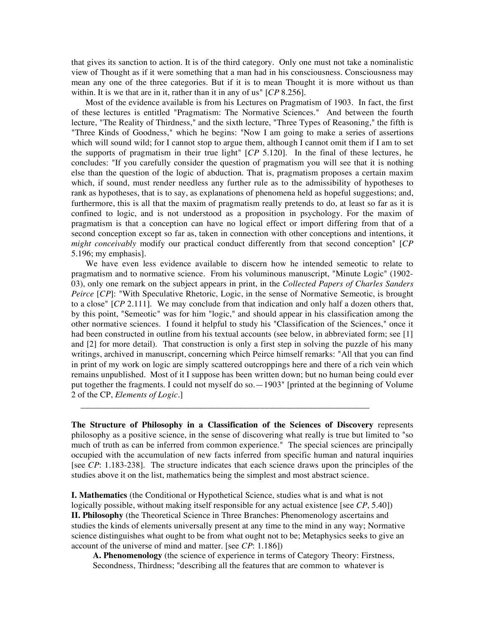that gives its sanction to action. It is of the third category. Only one must not take a nominalistic view of Thought as if it were something that a man had in his consciousness. Consciousness may mean any one of the three categories. But if it is to mean Thought it is more without us than within. It is we that are in it, rather than it in any of us" [*CP* 8.256].

Most of the evidence available is from his Lectures on Pragmatism of 1903. In fact, the first of these lectures is entitled "Pragmatism: The Normative Sciences." And between the fourth lecture, "The Reality of Thirdness," and the sixth lecture, "Three Types of Reasoning," the fifth is "Three Kinds of Goodness," which he begins: "Now I am going to make a series of assertions which will sound wild; for I cannot stop to argue them, although I cannot omit them if I am to set the supports of pragmatism in their true light" [*CP* 5.120]. In the final of these lectures, he concludes: "If you carefully consider the question of pragmatism you will see that it is nothing else than the question of the logic of abduction. That is, pragmatism proposes a certain maxim which, if sound, must render needless any further rule as to the admissibility of hypotheses to rank as hypotheses, that is to say, as explanations of phenomena held as hopeful suggestions; and, furthermore, this is all that the maxim of pragmatism really pretends to do, at least so far as it is confined to logic, and is not understood as a proposition in psychology. For the maxim of pragmatism is that a conception can have no logical effect or import differing from that of a second conception except so far as, taken in connection with other conceptions and intentions, it *might conceivably* modify our practical conduct differently from that second conception" [*CP* 5.196; my emphasis].

We have even less evidence available to discern how he intended semeotic to relate to pragmatism and to normative science. From his voluminous manuscript, "Minute Logic" (1902- 03), only one remark on the subject appears in print, in the *Collected Papers of Charles Sanders Peirce* [CP]: "With Speculative Rhetoric, Logic, in the sense of Normative Semeotic, is brought to a close" [*CP* 2.111]. We may conclude from that indication and only half a dozen others that, by this point, "Semeotic" was for him "logic," and should appear in his classification among the other normative sciences. I found it helpful to study his "Classification of the Sciences," once it had been constructed in outline from his textual accounts (see below, in abbreviated form; see [1] and [2] for more detail). That construction is only a first step in solving the puzzle of his many writings, archived in manuscript, concerning which Peirce himself remarks: "All that you can find in print of my work on logic are simply scattered outcroppings here and there of a rich vein which remains unpublished. Most of it I suppose has been written down; but no human being could ever put together the fragments. I could not myself do so.—1903" [printed at the beginning of Volume 2 of the CP, *Elements of Logic*.]

**The Structure of Philosophy in a Classification of the Sciences of Discovery** represents philosophy as a positive science, in the sense of discovering what really is true but limited to "so much of truth as can be inferred from common experience." The special sciences are principally occupied with the accumulation of new facts inferred from specific human and natural inquiries [see *CP*: 1.183-238]. The structure indicates that each science draws upon the principles of the studies above it on the list, mathematics being the simplest and most abstract science.

\_\_\_\_\_\_\_\_\_\_\_\_\_\_\_\_\_\_\_\_\_\_\_\_\_\_\_\_\_\_\_\_\_\_\_\_\_\_\_\_\_\_\_\_\_\_\_\_\_\_\_\_\_\_\_\_\_\_\_\_\_\_\_\_\_\_

**I. Mathematics** (the Conditional or Hypothetical Science, studies what is and what is not logically possible, without making itself responsible for any actual existence [see *CP*, 5.40]) **II. Philosophy** (the Theoretical Science in Three Branches: Phenomenology ascertains and studies the kinds of elements universally present at any time to the mind in any way; Normative science distinguishes what ought to be from what ought not to be; Metaphysics seeks to give an account of the universe of mind and matter. [see *CP*: 1.186])

**A. Phenomenology** (the science of experience in terms of Category Theory: Firstness, Secondness, Thirdness; "describing all the features that are common to whatever is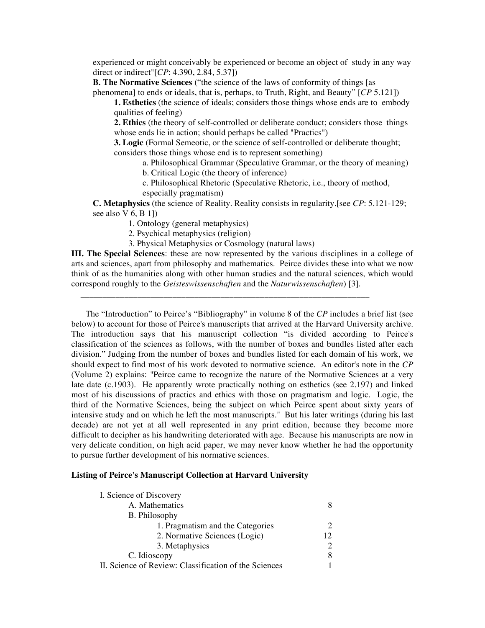experienced or might conceivably be experienced or become an object of study in any way direct or indirect"[*CP*: 4.390, 2.84, 5.37])

**B. The Normative Sciences** ("the science of the laws of conformity of things [as phenomena] to ends or ideals, that is, perhaps, to Truth, Right, and Beauty" [*CP* 5.121])

**1. Esthetics** (the science of ideals; considers those things whose ends are to embody qualities of feeling)

**2. Ethics** (the theory of self-controlled or deliberate conduct; considers those things whose ends lie in action; should perhaps be called "Practics")

**3. Logic** (Formal Semeotic, or the science of self-controlled or deliberate thought; considers those things whose end is to represent something)

a. Philosophical Grammar (Speculative Grammar, or the theory of meaning)

b. Critical Logic (the theory of inference)

c. Philosophical Rhetoric (Speculative Rhetoric, i.e., theory of method, especially pragmatism)

**C. Metaphysics** (the science of Reality. Reality consists in regularity.[see *CP*: 5.121-129; see also V 6, B 1])

1. Ontology (general metaphysics)

2. Psychical metaphysics (religion)

3. Physical Metaphysics or Cosmology (natural laws)

\_\_\_\_\_\_\_\_\_\_\_\_\_\_\_\_\_\_\_\_\_\_\_\_\_\_\_\_\_\_\_\_\_\_\_\_\_\_\_\_\_\_\_\_\_\_\_\_\_\_\_\_\_\_\_\_\_\_\_\_\_\_\_\_\_\_

**III. The Special Sciences**: these are now represented by the various disciplines in a college of arts and sciences, apart from philosophy and mathematics. Peirce divides these into what we now think of as the humanities along with other human studies and the natural sciences, which would correspond roughly to the *Geisteswissenschaften* and the *Naturwissenschaften*) [3].

The "Introduction" to Peirce's "Bibliography" in volume 8 of the *CP* includes a brief list (see below) to account for those of Peirce's manuscripts that arrived at the Harvard University archive. The introduction says that his manuscript collection "is divided according to Peirce's classification of the sciences as follows, with the number of boxes and bundles listed after each division." Judging from the number of boxes and bundles listed for each domain of his work, we should expect to find most of his work devoted to normative science. An editor's note in the *CP* (Volume 2) explains: "Peirce came to recognize the nature of the Normative Sciences at a very late date (c.1903). He apparently wrote practically nothing on esthetics (see 2.197) and linked most of his discussions of practics and ethics with those on pragmatism and logic. Logic, the third of the Normative Sciences, being the subject on which Peirce spent about sixty years of intensive study and on which he left the most manuscripts." But his later writings (during his last decade) are not yet at all well represented in any print edition, because they become more difficult to decipher as his handwriting deteriorated with age. Because his manuscripts are now in very delicate condition, on high acid paper, we may never know whether he had the opportunity to pursue further development of his normative sciences.

#### **Listing of Peirce's Manuscript Collection at Harvard University**

| A. Mathematics<br>B. Philosophy<br>1. Pragmatism and the Categories<br>2. Normative Sciences (Logic)<br>12<br>3. Metaphysics<br>C. Idioscopy<br>II. Science of Review: Classification of the Sciences | I. Science of Discovery |  |
|-------------------------------------------------------------------------------------------------------------------------------------------------------------------------------------------------------|-------------------------|--|
|                                                                                                                                                                                                       |                         |  |
|                                                                                                                                                                                                       |                         |  |
|                                                                                                                                                                                                       |                         |  |
|                                                                                                                                                                                                       |                         |  |
|                                                                                                                                                                                                       |                         |  |
|                                                                                                                                                                                                       |                         |  |
|                                                                                                                                                                                                       |                         |  |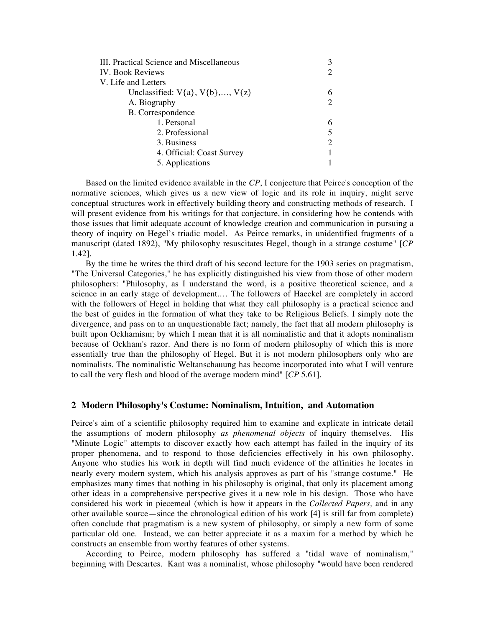| III. Practical Science and Miscellaneous      |  |
|-----------------------------------------------|--|
| IV. Book Reviews                              |  |
| V. Life and Letters                           |  |
| Unclassified: $V\{a\}$ , $V\{b\}$ ,, $V\{z\}$ |  |
| A. Biography                                  |  |
| B. Correspondence                             |  |
| 1. Personal                                   |  |
| 2. Professional                               |  |
| 3. Business                                   |  |
| 4. Official: Coast Survey                     |  |
| 5. Applications                               |  |
|                                               |  |

Based on the limited evidence available in the *CP*, I conjecture that Peirce's conception of the normative sciences, which gives us a new view of logic and its role in inquiry, might serve conceptual structures work in effectively building theory and constructing methods of research. I will present evidence from his writings for that conjecture, in considering how he contends with those issues that limit adequate account of knowledge creation and communication in pursuing a theory of inquiry on Hegel's triadic model. As Peirce remarks, in unidentified fragments of a manuscript (dated 1892), "My philosophy resuscitates Hegel, though in a strange costume" [*CP* 1.42].

By the time he writes the third draft of his second lecture for the 1903 series on pragmatism, "The Universal Categories," he has explicitly distinguished his view from those of other modern philosophers: "Philosophy, as I understand the word, is a positive theoretical science, and a science in an early stage of development.… The followers of Haeckel are completely in accord with the followers of Hegel in holding that what they call philosophy is a practical science and the best of guides in the formation of what they take to be Religious Beliefs. I simply note the divergence, and pass on to an unquestionable fact; namely, the fact that all modern philosophy is built upon Ockhamism; by which I mean that it is all nominalistic and that it adopts nominalism because of Ockham's razor. And there is no form of modern philosophy of which this is more essentially true than the philosophy of Hegel. But it is not modern philosophers only who are nominalists. The nominalistic Weltanschauung has become incorporated into what I will venture to call the very flesh and blood of the average modern mind" [*CP* 5.61].

#### **2 Modern Philosophy's Costume: Nominalism, Intuition, and Automation**

Peirce's aim of a scientific philosophy required him to examine and explicate in intricate detail the assumptions of modern philosophy *as phenomenal objects* of inquiry themselves. His "Minute Logic" attempts to discover exactly how each attempt has failed in the inquiry of its proper phenomena, and to respond to those deficiencies effectively in his own philosophy. Anyone who studies his work in depth will find much evidence of the affinities he locates in nearly every modern system, which his analysis approves as part of his "strange costume." He emphasizes many times that nothing in his philosophy is original, that only its placement among other ideas in a comprehensive perspective gives it a new role in his design. Those who have considered his work in piecemeal (which is how it appears in the *Collected Papers,* and in any other available source—since the chronological edition of his work [4] is still far from complete) often conclude that pragmatism is a new system of philosophy, or simply a new form of some particular old one. Instead, we can better appreciate it as a maxim for a method by which he constructs an ensemble from worthy features of other systems.

According to Peirce, modern philosophy has suffered a "tidal wave of nominalism," beginning with Descartes. Kant was a nominalist, whose philosophy "would have been rendered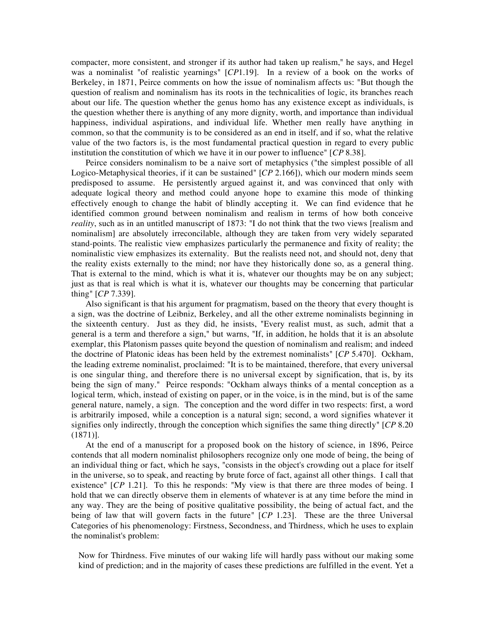compacter, more consistent, and stronger if its author had taken up realism," he says, and Hegel was a nominalist "of realistic yearnings" [*CP*1.19]. In a review of a book on the works of Berkeley, in 1871, Peirce comments on how the issue of nominalism affects us: "But though the question of realism and nominalism has its roots in the technicalities of logic, its branches reach about our life. The question whether the genus homo has any existence except as individuals, is the question whether there is anything of any more dignity, worth, and importance than individual happiness, individual aspirations, and individual life. Whether men really have anything in common, so that the community is to be considered as an end in itself, and if so, what the relative value of the two factors is, is the most fundamental practical question in regard to every public institution the constitution of which we have it in our power to influence" [*CP* 8.38].

Peirce considers nominalism to be a naive sort of metaphysics ("the simplest possible of all Logico-Metaphysical theories, if it can be sustained" [*CP* 2.166]), which our modern minds seem predisposed to assume. He persistently argued against it, and was convinced that only with adequate logical theory and method could anyone hope to examine this mode of thinking effectively enough to change the habit of blindly accepting it. We can find evidence that he identified common ground between nominalism and realism in terms of how both conceive *reality*, such as in an untitled manuscript of 1873: "I do not think that the two views [realism and nominalism] are absolutely irreconcilable, although they are taken from very widely separated stand-points. The realistic view emphasizes particularly the permanence and fixity of reality; the nominalistic view emphasizes its externality. But the realists need not, and should not, deny that the reality exists externally to the mind; nor have they historically done so, as a general thing. That is external to the mind, which is what it is, whatever our thoughts may be on any subject; just as that is real which is what it is, whatever our thoughts may be concerning that particular thing" [*CP* 7.339].

Also significant is that his argument for pragmatism, based on the theory that every thought is a sign, was the doctrine of Leibniz, Berkeley, and all the other extreme nominalists beginning in the sixteenth century. Just as they did, he insists, "Every realist must, as such, admit that a general is a term and therefore a sign," but warns, "If, in addition, he holds that it is an absolute exemplar, this Platonism passes quite beyond the question of nominalism and realism; and indeed the doctrine of Platonic ideas has been held by the extremest nominalists" [*CP* 5.470]. Ockham, the leading extreme nominalist, proclaimed: "It is to be maintained, therefore, that every universal is one singular thing, and therefore there is no universal except by signification, that is, by its being the sign of many." Peirce responds: "Ockham always thinks of a mental conception as a logical term, which, instead of existing on paper, or in the voice, is in the mind, but is of the same general nature, namely, a sign. The conception and the word differ in two respects: first, a word is arbitrarily imposed, while a conception is a natural sign; second, a word signifies whatever it signifies only indirectly, through the conception which signifies the same thing directly" [*CP* 8.20 (1871)].

At the end of a manuscript for a proposed book on the history of science, in 1896, Peirce contends that all modern nominalist philosophers recognize only one mode of being, the being of an individual thing or fact, which he says, "consists in the object's crowding out a place for itself in the universe, so to speak, and reacting by brute force of fact, against all other things. I call that existence" [*CP* 1.21]. To this he responds: "My view is that there are three modes of being. I hold that we can directly observe them in elements of whatever is at any time before the mind in any way. They are the being of positive qualitative possibility, the being of actual fact, and the being of law that will govern facts in the future" [*CP* 1.23]. These are the three Universal Categories of his phenomenology: Firstness, Secondness, and Thirdness, which he uses to explain the nominalist's problem:

Now for Thirdness. Five minutes of our waking life will hardly pass without our making some kind of prediction; and in the majority of cases these predictions are fulfilled in the event. Yet a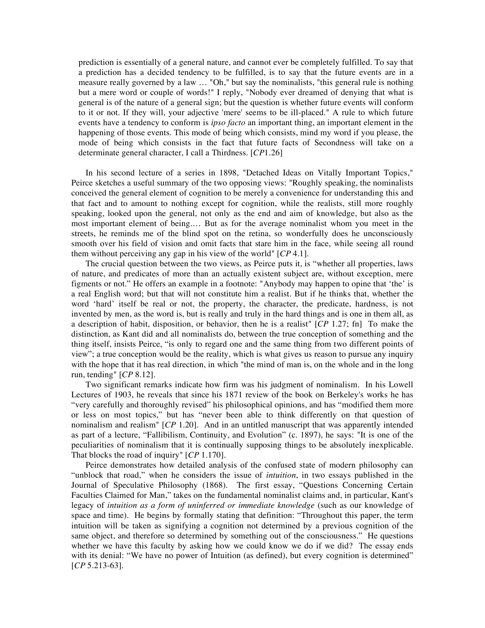prediction is essentially of a general nature, and cannot ever be completely fulfilled. To say that a prediction has a decided tendency to be fulfilled, is to say that the future events are in a measure really governed by a law … "Oh," but say the nominalists, "this general rule is nothing but a mere word or couple of words!" I reply, "Nobody ever dreamed of denying that what is general is of the nature of a general sign; but the question is whether future events will conform to it or not. If they will, your adjective 'mere' seems to be ill-placed." A rule to which future events have a tendency to conform is *ipso facto* an important thing, an important element in the happening of those events. This mode of being which consists, mind my word if you please, the mode of being which consists in the fact that future facts of Secondness will take on a determinate general character, I call a Thirdness. [*CP*1.26]

In his second lecture of a series in 1898, "Detached Ideas on Vitally Important Topics," Peirce sketches a useful summary of the two opposing views: "Roughly speaking, the nominalists conceived the general element of cognition to be merely a convenience for understanding this and that fact and to amount to nothing except for cognition, while the realists, still more roughly speaking, looked upon the general, not only as the end and aim of knowledge, but also as the most important element of being.… But as for the average nominalist whom you meet in the streets, he reminds me of the blind spot on the retina, so wonderfully does he unconsciously smooth over his field of vision and omit facts that stare him in the face, while seeing all round them without perceiving any gap in his view of the world" [*CP* 4.1].

The crucial question between the two views, as Peirce puts it, is "whether all properties, laws of nature, and predicates of more than an actually existent subject are, without exception, mere figments or not." He offers an example in a footnote: "Anybody may happen to opine that 'the' is a real English word; but that will not constitute him a realist. But if he thinks that, whether the word 'hard' itself be real or not, the property, the character, the predicate, hardness, is not invented by men, as the word is, but is really and truly in the hard things and is one in them all, as a description of habit, disposition, or behavior, then he is a realist" [*CP* 1.27; fn] To make the distinction, as Kant did and all nominalists do, between the true conception of something and the thing itself, insists Peirce, "is only to regard one and the same thing from two different points of view"; a true conception would be the reality, which is what gives us reason to pursue any inquiry with the hope that it has real direction, in which "the mind of man is, on the whole and in the long run, tending" [*CP* 8.12].

Two significant remarks indicate how firm was his judgment of nominalism. In his Lowell Lectures of 1903, he reveals that since his 1871 review of the book on Berkeley's works he has "very carefully and thoroughly revised" his philosophical opinions, and has "modified them more or less on most topics," but has "never been able to think differently on that question of nominalism and realism" [*CP* 1.20]. And in an untitled manuscript that was apparently intended as part of a lecture, "Fallibilism, Continuity, and Evolution" (c. 1897), he says: "It is one of the peculiarities of nominalism that it is continually supposing things to be absolutely inexplicable. That blocks the road of inquiry" [*CP* 1.170].

Peirce demonstrates how detailed analysis of the confused state of modern philosophy can "unblock that road," when he considers the issue of *intuition*, in two essays published in the Journal of Speculative Philosophy (1868). The first essay, "Questions Concerning Certain Faculties Claimed for Man," takes on the fundamental nominalist claims and, in particular, Kant's legacy of *intuition as a form of uninferred or immediate knowledge* (such as our knowledge of space and time). He begins by formally stating that definition: "Throughout this paper, the term intuition will be taken as signifying a cognition not determined by a previous cognition of the same object, and therefore so determined by something out of the consciousness." He questions whether we have this faculty by asking how we could know we do if we did? The essay ends with its denial: "We have no power of Intuition (as defined), but every cognition is determined" [*CP* 5.213-63].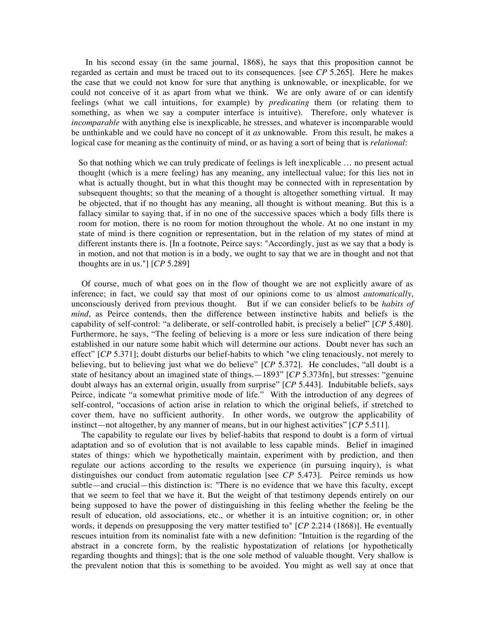In his second essay (in the same journal, 1868), he says that this proposition cannot be regarded as certain and must be traced out to its consequences. [see *CP* 5.265]. Here he makes the case that we could not know for sure that anything is unknowable, or inexplicable, for we could not conceive of it as apart from what we think. We are only aware of or can identify feelings (what we call intuitions, for example) by *predicating* them (or relating them to something, as when we say a computer interface is intuitive). Therefore, only whatever is *incomparable* with anything else is inexplicable, he stresses, and whatever is incomparable would be unthinkable and we could have no concept of it *as* unknowable. From this result, he makes a logical case for meaning as the continuity of mind, or as having a sort of being that is *relational*:

So that nothing which we can truly predicate of feelings is left inexplicable … no present actual thought (which is a mere feeling) has any meaning, any intellectual value; for this lies not in what is actually thought, but in what this thought may be connected with in representation by subsequent thoughts; so that the meaning of a thought is altogether something virtual. It may be objected, that if no thought has any meaning, all thought is without meaning. But this is a fallacy similar to saying that, if in no one of the successive spaces which a body fills there is room for motion, there is no room for motion throughout the whole. At no one instant in my state of mind is there cognition or representation, but in the relation of my states of mind at different instants there is. [In a footnote, Peirce says: "Accordingly, just as we say that a body is in motion, and not that motion is in a body, we ought to say that we are in thought and not that thoughts are in us."] [*CP* 5.289]

Of course, much of what goes on in the flow of thought we are not explicitly aware of as inference; in fact, we could say that most of our opinions come to us almost *automatically*, unconsciously derived from previous thought. But if we can consider beliefs to be *habits of mind*, as Peirce contends, then the difference between instinctive habits and beliefs is the capability of self-control: "a deliberate, or self-controlled habit, is precisely a belief" [*CP* 5.480]. Furthermore, he says, "The feeling of believing is a more or less sure indication of there being established in our nature some habit which will determine our actions. Doubt never has such an effect" [*CP* 5.371]; doubt disturbs our belief-habits to which "we cling tenaciously, not merely to believing, but to believing just what we do believe" [*CP* 5.372]. He concludes, "all doubt is a state of hesitancy about an imagined state of things.—1893" [*CP* 5.373fn], but stresses: "genuine doubt always has an external origin, usually from surprise" [*CP* 5.443]. Indubitable beliefs, says Peirce, indicate "a somewhat primitive mode of life." With the introduction of any degrees of self-control, "occasions of action arise in relation to which the original beliefs, if stretched to cover them, have no sufficient authority. In other words, we outgrow the applicability of instinct—not altogether, by any manner of means, but in our highest activities" [*CP* 5.511].

The capability to regulate our lives by belief-habits that respond to doubt is a form of virtual adaptation and so of evolution that is not available to less capable minds. Belief in imagined states of things: which we hypothetically maintain, experiment with by prediction, and then regulate our actions according to the results we experience (in pursuing inquiry), is what distinguishes our conduct from automatic regulation [see *CP* 5.473]. Peirce reminds us how subtle—and crucial—this distinction is: "There is no evidence that we have this faculty, except that we seem to feel that we have it. But the weight of that testimony depends entirely on our being supposed to have the power of distinguishing in this feeling whether the feeling be the result of education, old associations, etc., or whether it is an intuitive cognition; or, in other words, it depends on presupposing the very matter testified to" [*CP* 2.214 (1868)]. He eventually rescues intuition from its nominalist fate with a new definition: "Intuition is the regarding of the abstract in a concrete form, by the realistic hypostatization of relations [or hypothetically regarding thoughts and things]; that is the one sole method of valuable thought. Very shallow is the prevalent notion that this is something to be avoided. You might as well say at once that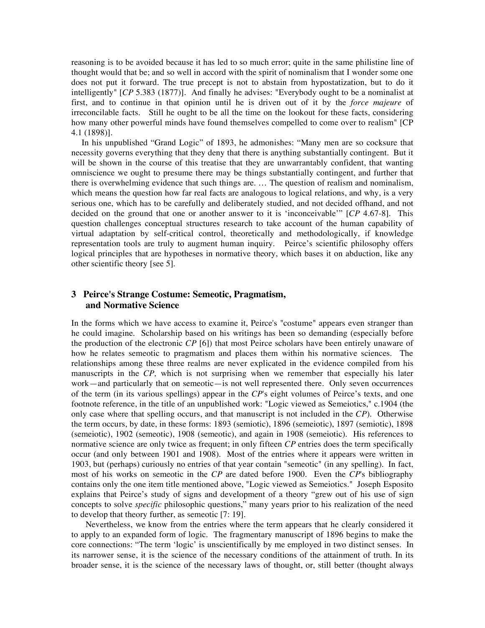reasoning is to be avoided because it has led to so much error; quite in the same philistine line of thought would that be; and so well in accord with the spirit of nominalism that I wonder some one does not put it forward. The true precept is not to abstain from hypostatization, but to do it intelligently" [*CP* 5.383 (1877)]. And finally he advises: "Everybody ought to be a nominalist at first, and to continue in that opinion until he is driven out of it by the *force majeure* of irreconcilable facts. Still he ought to be all the time on the lookout for these facts, considering how many other powerful minds have found themselves compelled to come over to realism" [CP 4.1 (1898)].

In his unpublished "Grand Logic" of 1893, he admonishes: "Many men are so cocksure that necessity governs everything that they deny that there is anything substantially contingent. But it will be shown in the course of this treatise that they are unwarrantably confident, that wanting omniscience we ought to presume there may be things substantially contingent, and further that there is overwhelming evidence that such things are. … The question of realism and nominalism, which means the question how far real facts are analogous to logical relations, and why, is a very serious one, which has to be carefully and deliberately studied, and not decided offhand, and not decided on the ground that one or another answer to it is 'inconceivable'" [*CP* 4.67-8]. This question challenges conceptual structures research to take account of the human capability of virtual adaptation by self-critical control, theoretically and methodologically, if knowledge representation tools are truly to augment human inquiry. Peirce's scientific philosophy offers logical principles that are hypotheses in normative theory, which bases it on abduction, like any other scientific theory [see 5].

# **3 Peirce's Strange Costume: Semeotic, Pragmatism, and Normative Science**

In the forms which we have access to examine it, Peirce's "costume" appears even stranger than he could imagine. Scholarship based on his writings has been so demanding (especially before the production of the electronic *CP* [6]) that most Peirce scholars have been entirely unaware of how he relates semeotic to pragmatism and places them within his normative sciences. The relationships among these three realms are never explicated in the evidence compiled from his manuscripts in the *CP,* which is not surprising when we remember that especially his later work—and particularly that on semeotic—is not well represented there. Only seven occurrences of the term (in its various spellings) appear in the *CP*'s eight volumes of Peirce's texts, and one footnote reference, in the title of an unpublished work: "Logic viewed as Semeiotics," c.1904 (the only case where that spelling occurs, and that manuscript is not included in the *CP*). Otherwise the term occurs, by date, in these forms: 1893 (semiotic), 1896 (semeiotic), 1897 (semiotic), 1898 (semeiotic), 1902 (semeotic), 1908 (semeotic), and again in 1908 (semeiotic). His references to normative science are only twice as frequent; in only fifteen *CP* entries does the term specifically occur (and only between 1901 and 1908). Most of the entries where it appears were written in 1903, but (perhaps) curiously no entries of that year contain "semeotic" (in any spelling). In fact, most of his works on semeotic in the *CP* are dated before 1900. Even the *CP*'s bibliography contains only the one item title mentioned above, "Logic viewed as Semeiotics." Joseph Esposito explains that Peirce's study of signs and development of a theory "grew out of his use of sign concepts to solve *specific* philosophic questions," many years prior to his realization of the need to develop that theory further, as semeotic [7: 19].

Nevertheless, we know from the entries where the term appears that he clearly considered it to apply to an expanded form of logic. The fragmentary manuscript of 1896 begins to make the core connections: "The term 'logic' is unscientifically by me employed in two distinct senses. In its narrower sense, it is the science of the necessary conditions of the attainment of truth. In its broader sense, it is the science of the necessary laws of thought, or, still better (thought always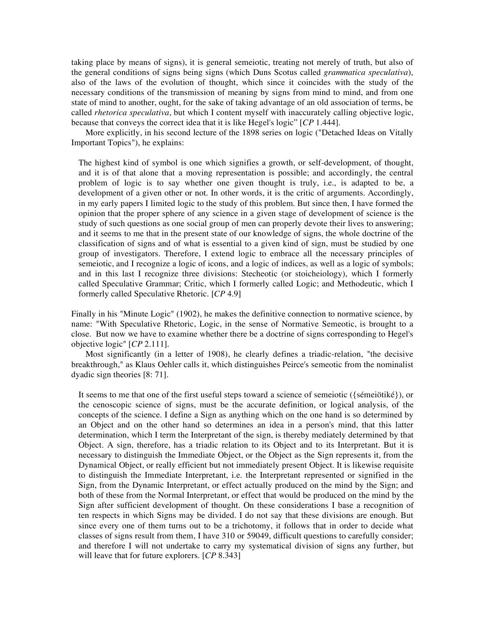taking place by means of signs), it is general semeiotic, treating not merely of truth, but also of the general conditions of signs being signs (which Duns Scotus called *grammatica speculativa*), also of the laws of the evolution of thought, which since it coincides with the study of the necessary conditions of the transmission of meaning by signs from mind to mind, and from one state of mind to another, ought, for the sake of taking advantage of an old association of terms, be called *rhetorica speculativa*, but which I content myself with inaccurately calling objective logic, because that conveys the correct idea that it is like Hegel's logic" [*CP* 1.444].

More explicitly, in his second lecture of the 1898 series on logic ("Detached Ideas on Vitally Important Topics"), he explains:

The highest kind of symbol is one which signifies a growth, or self-development, of thought, and it is of that alone that a moving representation is possible; and accordingly, the central problem of logic is to say whether one given thought is truly, i.e., is adapted to be, a development of a given other or not. In other words, it is the critic of arguments. Accordingly, in my early papers I limited logic to the study of this problem. But since then, I have formed the opinion that the proper sphere of any science in a given stage of development of science is the study of such questions as one social group of men can properly devote their lives to answering; and it seems to me that in the present state of our knowledge of signs, the whole doctrine of the classification of signs and of what is essential to a given kind of sign, must be studied by one group of investigators. Therefore, I extend logic to embrace all the necessary principles of semeiotic, and I recognize a logic of icons, and a logic of indices, as well as a logic of symbols; and in this last I recognize three divisions: Stecheotic (or stoicheiology), which I formerly called Speculative Grammar; Critic, which I formerly called Logic; and Methodeutic, which I formerly called Speculative Rhetoric. [*CP* 4.9]

Finally in his "Minute Logic" (1902), he makes the definitive connection to normative science, by name: "With Speculative Rhetoric, Logic, in the sense of Normative Semeotic, is brought to a close. But now we have to examine whether there be a doctrine of signs corresponding to Hegel's objective logic" [*CP* 2.111].

Most significantly (in a letter of 1908), he clearly defines a triadic-relation, "the decisive breakthrough," as Klaus Oehler calls it, which distinguishes Peirce's semeotic from the nominalist dyadic sign theories [8: 71].

It seems to me that one of the first useful steps toward a science of semeiotic ({sémeiötiké}), or the cenoscopic science of signs, must be the accurate definition, or logical analysis, of the concepts of the science. I define a Sign as anything which on the one hand is so determined by an Object and on the other hand so determines an idea in a person's mind, that this latter determination, which I term the Interpretant of the sign, is thereby mediately determined by that Object. A sign, therefore, has a triadic relation to its Object and to its Interpretant. But it is necessary to distinguish the Immediate Object, or the Object as the Sign represents it, from the Dynamical Object, or really efficient but not immediately present Object. It is likewise requisite to distinguish the Immediate Interpretant, i.e. the Interpretant represented or signified in the Sign, from the Dynamic Interpretant, or effect actually produced on the mind by the Sign; and both of these from the Normal Interpretant, or effect that would be produced on the mind by the Sign after sufficient development of thought. On these considerations I base a recognition of ten respects in which Signs may be divided. I do not say that these divisions are enough. But since every one of them turns out to be a trichotomy, it follows that in order to decide what classes of signs result from them, I have 310 or 59049, difficult questions to carefully consider; and therefore I will not undertake to carry my systematical division of signs any further, but will leave that for future explorers. [*CP* 8.343]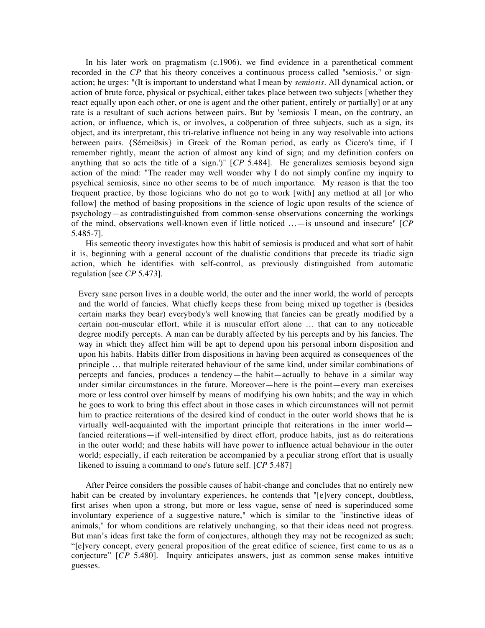In his later work on pragmatism (c.1906), we find evidence in a parenthetical comment recorded in the *CP* that his theory conceives a continuous process called "semiosis," or signaction; he urges: "(It is important to understand what I mean by *semiosis*. All dynamical action, or action of brute force, physical or psychical, either takes place between two subjects [whether they react equally upon each other, or one is agent and the other patient, entirely or partially] or at any rate is a resultant of such actions between pairs. But by 'semiosis' I mean, on the contrary, an action, or influence, which is, or involves, a coöperation of three subjects, such as a sign, its object, and its interpretant, this tri-relative influence not being in any way resolvable into actions between pairs. {Sémeiösis} in Greek of the Roman period, as early as Cicero's time, if I remember rightly, meant the action of almost any kind of sign; and my definition confers on anything that so acts the title of a 'sign.')" [*CP* 5.484]. He generalizes semiosis beyond sign action of the mind: "The reader may well wonder why I do not simply confine my inquiry to psychical semiosis, since no other seems to be of much importance. My reason is that the too frequent practice, by those logicians who do not go to work [with] any method at all [or who follow] the method of basing propositions in the science of logic upon results of the science of psychology—as contradistinguished from common-sense observations concerning the workings of the mind, observations well-known even if little noticed …—is unsound and insecure" [*CP* 5.485-7].

His semeotic theory investigates how this habit of semiosis is produced and what sort of habit it is, beginning with a general account of the dualistic conditions that precede its triadic sign action, which he identifies with self-control, as previously distinguished from automatic regulation [see *CP* 5.473].

Every sane person lives in a double world, the outer and the inner world, the world of percepts and the world of fancies. What chiefly keeps these from being mixed up together is (besides certain marks they bear) everybody's well knowing that fancies can be greatly modified by a certain non-muscular effort, while it is muscular effort alone … that can to any noticeable degree modify percepts. A man can be durably affected by his percepts and by his fancies. The way in which they affect him will be apt to depend upon his personal inborn disposition and upon his habits. Habits differ from dispositions in having been acquired as consequences of the principle … that multiple reiterated behaviour of the same kind, under similar combinations of percepts and fancies, produces a tendency—the habit—actually to behave in a similar way under similar circumstances in the future. Moreover—here is the point—every man exercises more or less control over himself by means of modifying his own habits; and the way in which he goes to work to bring this effect about in those cases in which circumstances will not permit him to practice reiterations of the desired kind of conduct in the outer world shows that he is virtually well-acquainted with the important principle that reiterations in the inner world fancied reiterations—if well-intensified by direct effort, produce habits, just as do reiterations in the outer world; and these habits will have power to influence actual behaviour in the outer world; especially, if each reiteration be accompanied by a peculiar strong effort that is usually likened to issuing a command to one's future self. [*CP* 5.487]

After Peirce considers the possible causes of habit-change and concludes that no entirely new habit can be created by involuntary experiences, he contends that "[e]very concept, doubtless, first arises when upon a strong, but more or less vague, sense of need is superinduced some involuntary experience of a suggestive nature," which is similar to the "instinctive ideas of animals," for whom conditions are relatively unchanging, so that their ideas need not progress. But man's ideas first take the form of conjectures, although they may not be recognized as such; "[e]very concept, every general proposition of the great edifice of science, first came to us as a conjecture" [*CP* 5.480]. Inquiry anticipates answers, just as common sense makes intuitive guesses.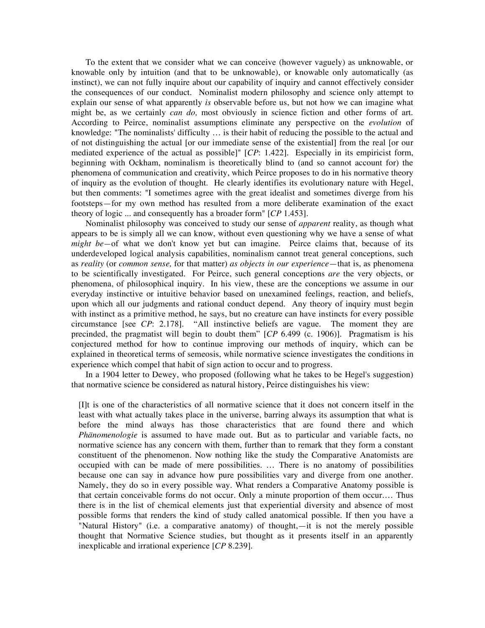To the extent that we consider what we can conceive (however vaguely) as unknowable, or knowable only by intuition (and that to be unknowable), or knowable only automatically (as instinct), we can not fully inquire about our capability of inquiry and cannot effectively consider the consequences of our conduct. Nominalist modern philosophy and science only attempt to explain our sense of what apparently *is* observable before us, but not how we can imagine what might be, as we certainly *can do,* most obviously in science fiction and other forms of art. According to Peirce, nominalist assumptions eliminate any perspective on the *evolution* of knowledge: "The nominalists' difficulty … is their habit of reducing the possible to the actual and of not distinguishing the actual [or our immediate sense of the existential] from the real [or our mediated experience of the actual as possible]" [*CP*: 1.422]. Especially in its empiricist form, beginning with Ockham, nominalism is theoretically blind to (and so cannot account for) the phenomena of communication and creativity, which Peirce proposes to do in his normative theory of inquiry as the evolution of thought. He clearly identifies its evolutionary nature with Hegel, but then comments: "I sometimes agree with the great idealist and sometimes diverge from his footsteps—for my own method has resulted from a more deliberate examination of the exact theory of logic ... and consequently has a broader form" [*CP* 1.453].

Nominalist philosophy was conceived to study our sense of *apparent* reality, as though what appears to be is simply all we can know, without even questioning why we have a sense of what *might be—*of what we don't know yet but can imagine. Peirce claims that, because of its underdeveloped logical analysis capabilities, nominalism cannot treat general conceptions, such as *reality* (or *common sense,* for that matter) *as objects in our experience*—that is, as phenomena to be scientifically investigated. For Peirce, such general conceptions *are* the very objects, or phenomena, of philosophical inquiry. In his view, these are the conceptions we assume in our everyday instinctive or intuitive behavior based on unexamined feelings, reaction, and beliefs, upon which all our judgments and rational conduct depend. Any theory of inquiry must begin with instinct as a primitive method, he says, but no creature can have instincts for every possible circumstance [see *CP*: 2.178]. "All instinctive beliefs are vague. The moment they are precinded, the pragmatist will begin to doubt them" [*CP* 6.499 (c. 1906)]. Pragmatism is his conjectured method for how to continue improving our methods of inquiry, which can be explained in theoretical terms of semeosis, while normative science investigates the conditions in experience which compel that habit of sign action to occur and to progress.

In a 1904 letter to Dewey, who proposed (following what he takes to be Hegel's suggestion) that normative science be considered as natural history, Peirce distinguishes his view:

[I]t is one of the characteristics of all normative science that it does not concern itself in the least with what actually takes place in the universe, barring always its assumption that what is before the mind always has those characteristics that are found there and which *Phänomenologie* is assumed to have made out. But as to particular and variable facts, no normative science has any concern with them, further than to remark that they form a constant constituent of the phenomenon. Now nothing like the study the Comparative Anatomists are occupied with can be made of mere possibilities. … There is no anatomy of possibilities because one can say in advance how pure possibilities vary and diverge from one another. Namely, they do so in every possible way. What renders a Comparative Anatomy possible is that certain conceivable forms do not occur. Only a minute proportion of them occur.… Thus there is in the list of chemical elements just that experiential diversity and absence of most possible forms that renders the kind of study called anatomical possible. If then you have a "Natural History" (i.e. a comparative anatomy) of thought,—it is not the merely possible thought that Normative Science studies, but thought as it presents itself in an apparently inexplicable and irrational experience [*CP* 8.239].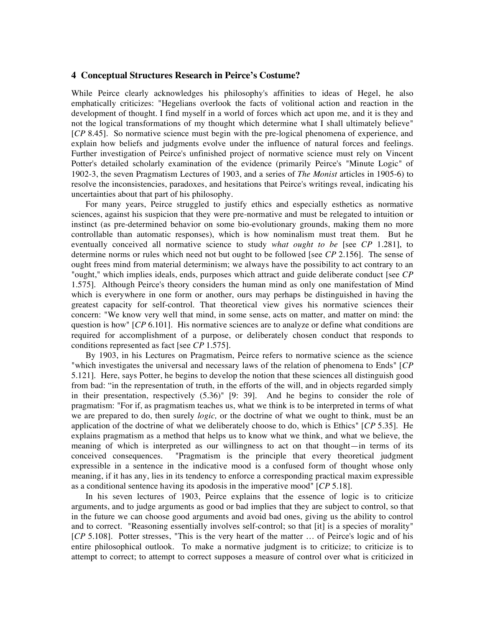#### **4 Conceptual Structures Research in Peirce's Costume?**

While Peirce clearly acknowledges his philosophy's affinities to ideas of Hegel, he also emphatically criticizes: "Hegelians overlook the facts of volitional action and reaction in the development of thought. I find myself in a world of forces which act upon me, and it is they and not the logical transformations of my thought which determine what I shall ultimately believe" [*CP* 8.45]. So normative science must begin with the pre-logical phenomena of experience, and explain how beliefs and judgments evolve under the influence of natural forces and feelings. Further investigation of Peirce's unfinished project of normative science must rely on Vincent Potter's detailed scholarly examination of the evidence (primarily Peirce's "Minute Logic" of 1902-3, the seven Pragmatism Lectures of 1903, and a series of *The Monist* articles in 1905-6) to resolve the inconsistencies, paradoxes, and hesitations that Peirce's writings reveal, indicating his uncertainties about that part of his philosophy.

For many years, Peirce struggled to justify ethics and especially esthetics as normative sciences, against his suspicion that they were pre-normative and must be relegated to intuition or instinct (as pre-determined behavior on some bio-evolutionary grounds, making them no more controllable than automatic responses), which is how nominalism must treat them. But he eventually conceived all normative science to study *what ought to be* [see *CP* 1.281], to determine norms or rules which need not but ought to be followed [see *CP* 2.156]. The sense of ought frees mind from material determinism; we always have the possibility to act contrary to an "ought," which implies ideals, ends, purposes which attract and guide deliberate conduct [see *CP* 1.575]. Although Peirce's theory considers the human mind as only one manifestation of Mind which is everywhere in one form or another, ours may perhaps be distinguished in having the greatest capacity for self-control. That theoretical view gives his normative sciences their concern: "We know very well that mind, in some sense, acts on matter, and matter on mind: the question is how" [*CP* 6.101]. His normative sciences are to analyze or define what conditions are required for accomplishment of a purpose, or deliberately chosen conduct that responds to conditions represented as fact [see *CP* 1.575].

By 1903, in his Lectures on Pragmatism, Peirce refers to normative science as the science "which investigates the universal and necessary laws of the relation of phenomena to Ends" [*CP* 5.121]. Here, says Potter, he begins to develop the notion that these sciences all distinguish good from bad: "in the representation of truth, in the efforts of the will, and in objects regarded simply in their presentation, respectively (5.36)" [9: 39]. And he begins to consider the role of pragmatism: "For if, as pragmatism teaches us, what we think is to be interpreted in terms of what we are prepared to do, then surely *logic,* or the doctrine of what we ought to think, must be an application of the doctrine of what we deliberately choose to do, which is Ethics" [*CP* 5.35]. He explains pragmatism as a method that helps us to know what we think, and what we believe, the meaning of which is interpreted as our willingness to act on that thought—in terms of its conceived consequences. "Pragmatism is the principle that every theoretical judgment expressible in a sentence in the indicative mood is a confused form of thought whose only meaning, if it has any, lies in its tendency to enforce a corresponding practical maxim expressible as a conditional sentence having its apodosis in the imperative mood" [*CP* 5.18].

In his seven lectures of 1903, Peirce explains that the essence of logic is to criticize arguments, and to judge arguments as good or bad implies that they are subject to control, so that in the future we can choose good arguments and avoid bad ones, giving us the ability to control and to correct. "Reasoning essentially involves self-control; so that [it] is a species of morality" [CP 5.108]. Potter stresses, "This is the very heart of the matter ... of Peirce's logic and of his entire philosophical outlook. To make a normative judgment is to criticize; to criticize is to attempt to correct; to attempt to correct supposes a measure of control over what is criticized in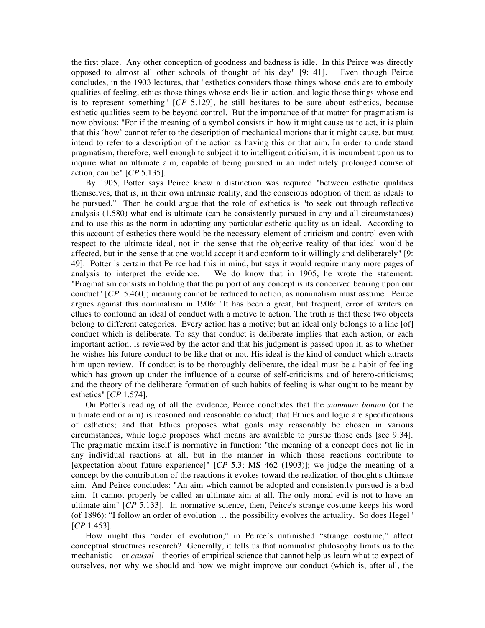the first place. Any other conception of goodness and badness is idle. In this Peirce was directly opposed to almost all other schools of thought of his day" [9: 41]. Even though Peirce concludes, in the 1903 lectures, that "esthetics considers those things whose ends are to embody qualities of feeling, ethics those things whose ends lie in action, and logic those things whose end is to represent something" [*CP* 5.129], he still hesitates to be sure about esthetics, because esthetic qualities seem to be beyond control. But the importance of that matter for pragmatism is now obvious: "For if the meaning of a symbol consists in how it might cause us to act, it is plain that this 'how' cannot refer to the description of mechanical motions that it might cause, but must intend to refer to a description of the action as having this or that aim. In order to understand pragmatism, therefore, well enough to subject it to intelligent criticism, it is incumbent upon us to inquire what an ultimate aim, capable of being pursued in an indefinitely prolonged course of action, can be" [*CP* 5.135].

By 1905, Potter says Peirce knew a distinction was required "between esthetic qualities themselves, that is, in their own intrinsic reality, and the conscious adoption of them as ideals to be pursued." Then he could argue that the role of esthetics is "to seek out through reflective analysis (1.580) what end is ultimate (can be consistently pursued in any and all circumstances) and to use this as the norm in adopting any particular esthetic quality as an ideal. According to this account of esthetics there would be the necessary element of criticism and control even with respect to the ultimate ideal, not in the sense that the objective reality of that ideal would be affected, but in the sense that one would accept it and conform to it willingly and deliberately" [9: 49]. Potter is certain that Peirce had this in mind, but says it would require many more pages of analysis to interpret the evidence. We do know that in 1905, he wrote the statement: "Pragmatism consists in holding that the purport of any concept is its conceived bearing upon our conduct" [*CP*: 5.460]; meaning cannot be reduced to action, as nominalism must assume. Peirce argues against this nominalism in 1906: "It has been a great, but frequent, error of writers on ethics to confound an ideal of conduct with a motive to action. The truth is that these two objects belong to different categories. Every action has a motive; but an ideal only belongs to a line [of] conduct which is deliberate. To say that conduct is deliberate implies that each action, or each important action, is reviewed by the actor and that his judgment is passed upon it, as to whether he wishes his future conduct to be like that or not. His ideal is the kind of conduct which attracts him upon review. If conduct is to be thoroughly deliberate, the ideal must be a habit of feeling which has grown up under the influence of a course of self-criticisms and of hetero-criticisms; and the theory of the deliberate formation of such habits of feeling is what ought to be meant by esthetics" [*CP* 1.574].

On Potter's reading of all the evidence, Peirce concludes that the *summum bonum* (or the ultimate end or aim) is reasoned and reasonable conduct; that Ethics and logic are specifications of esthetics; and that Ethics proposes what goals may reasonably be chosen in various circumstances, while logic proposes what means are available to pursue those ends [see 9:34]. The pragmatic maxim itself is normative in function: "the meaning of a concept does not lie in any individual reactions at all, but in the manner in which those reactions contribute to [expectation about future experience]" [*CP* 5.3; MS 462 (1903)]; we judge the meaning of a concept by the contribution of the reactions it evokes toward the realization of thought's ultimate aim. And Peirce concludes: "An aim which cannot be adopted and consistently pursued is a bad aim. It cannot properly be called an ultimate aim at all. The only moral evil is not to have an ultimate aim" [*CP* 5.133]. In normative science, then, Peirce's strange costume keeps his word (of 1896): "I follow an order of evolution … the possibility evolves the actuality. So does Hegel" [*CP* 1.453].

How might this "order of evolution," in Peirce's unfinished "strange costume," affect conceptual structures research? Generally, it tells us that nominalist philosophy limits us to the mechanistic—or *causal*—theories of empirical science that cannot help us learn what to expect of ourselves, nor why we should and how we might improve our conduct (which is, after all, the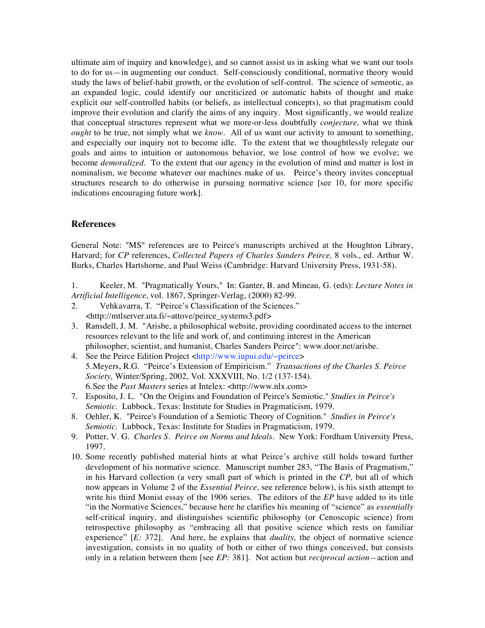ultimate aim of inquiry and knowledge), and so cannot assist us in asking what we want our tools to do for us—in augmenting our conduct. Self-consciously conditional, normative theory would study the laws of belief-habit growth, or the evolution of self-control. The science of semeotic, as an expanded logic, could identify our uncriticized or automatic habits of thought and make explicit our self-controlled habits (or beliefs, as intellectual concepts), so that pragmatism could improve their evolution and clarify the aims of any inquiry. Most significantly, we would realize that conceptual structures represent what we more-or-less doubtfully *conjecture,* what we think *ought* to be true, not simply what we *know*. All of us want our activity to amount to something, and especially our inquiry not to become idle. To the extent that we thoughtlessly relegate our goals and aims to intuition or autonomous behavior, we lose control of how we evolve; we become *demoralized.* To the extent that our agency in the evolution of mind and matter is lost in nominalism, we become whatever our machines make of us. Peirce's theory invites conceptual structures research to do otherwise in pursuing normative science [see 10, for more specific indications encouraging future work].

## **References**

General Note: "MS" references are to Peirce's manuscripts archived at the Houghton Library, Harvard; for *CP* references, *Collected Papers of Charles Sanders Peirce,* 8 vols., ed. Arthur W. Burks, Charles Hartshorne, and Paul Weiss (Cambridge: Harvard University Press, 1931-58).

- 1. Keeler, M. "Pragmatically Yours," In: Ganter, B. and Mineau, G. (eds): *Lecture Notes in Artificial Intelligence*, vol. 1867, Springer-Verlag, (2000) 82-99.
- 2. Vehkavarra, T. "Peirce's Classification of the Sciences." <http://mtlserver.uta.fi/~attove/peirce\_systems3.pdf>
- 3. Ransdell, J. M. "Arisbe, a philosophical website, providing coordinated access to the internet resources relevant to the life and work of, and continuing interest in the American philosopher, scientist, and humanist, Charles Sanders Peirce": www.door.net/arisbe.
- 4. See the Peirce Edition Project <http://www.iupui.edu/~peirce> 5.Meyers, R.G. "Peirce's Extension of Empiricism." *Transactions of the Charles S. Peirce Society,* Winter/Spring, 2002, Vol. XXXVIII, No. 1/2 (137-154). 6.See the *Past Masters* series at Intelex: <http://www.nlx.com>
- 7. Esposito, J. L. "On the Origins and Foundation of Peirce's Semiotic." *Studies in Peirce's Semiotic.* Lubbock, Texas: Institute for Studies in Pragmaticism, 1979.
- 8. Oehler, K. "Peirce's Foundation of a Semiotic Theory of Cognition." *Studies in Peirce's Semiotic.* Lubbock, Texas: Institute for Studies in Pragmaticism, 1979.
- 9. Potter, V. G. *Charles S. Peirce on Norms and Ideals.* New York: Fordham University Press, 1997.
- 10. Some recently published material hints at what Peirce's archive still holds toward further development of his normative science. Manuscript number 283, "The Basis of Pragmatism," in his Harvard collection (a very small part of which is printed in the *CP,* but all of which now appears in Volume 2 of the *Essential Peirce,* see reference below), is his sixth attempt to write his third Monist essay of the 1906 series. The editors of the *EP* have added to its title "in the Normative Sciences," because here he clarifies his meaning of "science" as *essentially* self-critical inquiry, and distinguishes scientific philosophy (or Cenoscopic science) from retrospective philosophy as "embracing all that positive science which rests on familiar experience" [*E:* 372]. And here, he explains that *duality,* the object of normative science investigation, consists in no quality of both or either of two things conceived, but consists only in a relation between them [see *EP:* 381]. Not action but *reciprocal action—*action and